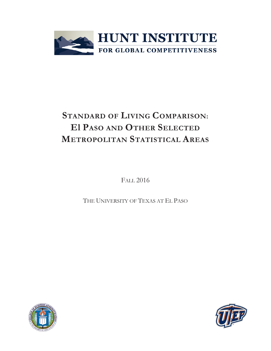

# **STANDARD OF LIVING COMPARISON: El PASO AND OTHER SELECTED METROPOLITAN STATISTICAL AREAS**

FALL 2016

THE UNIVERSITY OF TEXAS AT EL PASO



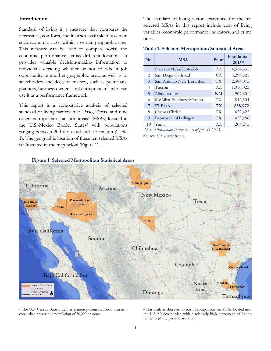## **Introduction**

Standard of living is a measure that compares the necessities, comforts, and luxuries available to a certain socioeconomic class, within a certain geographic area. This measure can be used to compare social and economic performance across different locations. It provides valuable decision-making information to individuals deciding whether or not to take a job opportunity in another geographic area, as well as to stakeholders and decision makers, such as politicians, planners, business owners, and entrepreneurs, who can use it as a performance framework.

This report is a comparative analysis of selected standard of living factors in El Paso, Texas, and nine other metropolitan statistical areas<sup>1</sup> (MSAs) located in the U.S.-Mexico Border States<sup>2</sup> with populations ranging between 200 thousand and 4.5 million (Table 1). The geographic location of these ten selected MSAs is illustrated in the map below (Figure 1).

The standard of living factors examined for the ten selected MSAs in this report include cost of living variables, economic performance indicators, and crime rates.

**Table 1. Selected Metropolitan Statistical Areas**

| No.            | <b>MSA</b>                | <b>State</b>    | Population<br>2015* |
|----------------|---------------------------|-----------------|---------------------|
| $\mathbf{1}$   | Phoenix-Mesa-Scottsdale   | $A\overline{Z}$ | 4,574,531           |
| 2              | San Diego-Carlsbad        | CA              | 3,299,521           |
| $\overline{3}$ | San Antonio-New Braunfels | <b>TX</b>       | 2,384,075           |
| 4              | Tucson                    | AZ              | 1,010,025           |
| 5              | Albuquerque               | <b>NM</b>       | 907,301             |
| 6              | McAllen-Edinburg-Mission  | <b>TX</b>       | 842,304             |
| 7              | El Paso                   | <b>TX</b>       | 838,972             |
| 8              | Corpus Christi            | <b>TX</b>       | 452,422             |
| 9              | Brownsville-Harlingen     | <b>TX</b>       | 422,156             |
| 10             | Yuma                      | AZ              | 204,275             |

**Source**: *U.S. Census Bureau. Note: \*Population Estimate (as of July 1) 2015*



 **Figure 1. Selected Metropolitan Statistical Areas**

 $\overline{\phantom{a}}$ 

<sup>2</sup> This analysis chose as objects of comparison ten MSAs located near the U.S.-Mexico border, with a relatively high percentage of Latino residents (thirty percent or more).

<sup>1</sup> The U.S. Census Bureau defines a metropolitan statistical area as a core urban area with a population of 50,000 or more.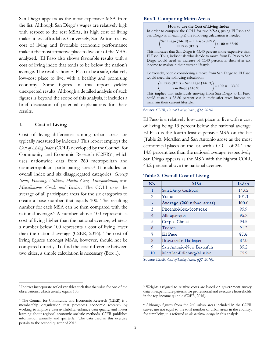San Diego appears as the most expensive MSA from the list. Although San Diego's wages are relatively high with respect to the rest MSAs, its high cost of living makes it less affordable. Conversely, San Antonio's low cost of living and favorable economic performance make it the most attractive place to live out of the MSAs analyzed. El Paso also shows favorable results with a cost of living index that tends to be below the nation's average. The results show El Paso to be a safe, relatively low-cost place to live, with a healthy and promising economy. Some figures in this report yielded unexpected results. Although a detailed analysis of such figures is beyond the scope of this analysis, it includes a brief discussion of potential explanations for these results.

# **I. Cost of Living**

 $\overline{\phantom{a}}$ 

Cost of living differences among urban areas are typically measured by indexes. <sup>3</sup> This report employs the *Cost of Living Index* (COLI) developed by the Council for Community and Economic Research (C2ER) <sup>4</sup>, which uses nationwide data from 260 metropolitan and nonmetropolitan participating areas. <sup>5</sup> It includes an overall index and six disaggregated categories: *Grocery Items, Housing, Utilities, Health Care, Transportation,* and *Miscellaneous Goods and Services*. The COLI uses the average of all participant areas for the six categories to create a base number that equals 100. The resulting number for each MSA can be then compared with the national average. <sup>6</sup> A number above 100 represents a cost of living higher than the national average, whereas a number below 100 represents a cost of living lower than the national average (C2ER, 2016). The cost of living figures amongst MSAs, however, should not be compared directly. To find the cost difference between two cities, a simple calculation is necessary (Box 1).

# **Box 1. Comparing Metro Areas**

(

(

#### **How to use the Cost of Living Index**

In order to compare the COLI for two MSAs, (using El Paso and San Diego as an example) the following calculation is needed:

$$
\frac{\text{San Diego (146.9) - El Paso (89.9)}}{\text{El Paso (89.9)}} \div 100 = 63.40
$$

This indicates that San Diego is 63.40 percent more expensive than El Paso. Thus, individuals who decide to move from El Paso to San Diego would need an increase of 63.40 percent in their after-tax income to maintain their current lifestyle.

Conversely, people considering a move from San Diego to El Paso would need the following calculation:

$$
\frac{\text{El Paso (89.9) - San Diego (146.9)}}{\text{San Diego (146.9)}} * 100 = -38.80
$$

This implies that individuals moving from San Diego to El Paso could sustain a 38.80 percent cut in their after-taxes income to maintain their current lifestyle.

**Source** *C2ER; Cost of Living Index, (Q2, 2016).*

El Paso is a relatively low-cost place to live with a cost of living being 13 percent below the national average. El Paso is the fourth least expensive MSA on the list (Table 2). McAllen and San Antonio arose as the most economical places on the list, with a COLI of 24.1 and 14.8 percent less than the national average, respectively. San Diego appears as the MSA with the highest COLI, 43.2 percent above the national average.

**Table 2**. **Overall Cost of Living**

| No.            | <b>MSA</b>                | Index |
|----------------|---------------------------|-------|
| 1              | San Diego-Carlsbad        | 143.2 |
| 2              | Yuma                      | 101.1 |
|                | Average (260 urban areas) | 100.0 |
| 3              | Phoenix-Mesa-Scottsdale   | 95.9  |
| $\overline{4}$ | Albuquerque               | 95.2  |
| 5              | Corpus Christi            | 94.5  |
| 6              | Tucson                    | 91.2  |
| 7              | El Paso                   | 87.6  |
| 8              | Brownsville-Harlingen     | 87.0  |
| 9              | San Antonio-New Braunfels | 85.2  |
| 10             | McAllen-Edinburg-Mission  | 75.9  |

**Source** *C2ER; Cost of Living Index, (Q2, 2016).*

<sup>6</sup> Although figures from the 260 urban areas included in the C2ER survey are not equal to the total number of urban areas in the country, for simplicity, it is referred as *the national average* in this analysis.

<sup>3</sup> Indexes incorporate scaled variables such that the value for one of the observations, which usually equals 100.

<sup>4</sup> The Council for Community and Economic Research (C2ER) is a membership organization that promotes economic research by working to improve data availability, enhance data quality, and foster learning about regional economic analytic methods. C2ER publishes information annually and quarterly. The data used in this exercise pertain to the second quarter of 2016.

<sup>5</sup> Weights assigned to relative costs are based on government survey data on expenditure patterns for professional and executive households in the top income quintile (C2ER, 2016).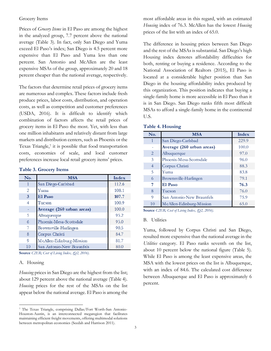## Grocery Items

Prices of *Grocery Items* in El Paso are among the highest in the analyzed group, 7.7 percent above the national average (Table 3). In fact, only San Diego and Yuma exceed El Paso's index; San Diego is 4.5 percent more expensive than El Paso and Yuma less than one percent. San Antonio and McAllen are the least expensive MSAs of the group, approximately 20 and 18 percent cheaper than the national average, respectively.

The factors that determine retail prices of grocery items are numerous and complex. These factors include fresh produce prices, labor costs, distribution, and operation costs, as well as competition and customer preferences (USDA, 2016). It is difficult to identify which combination of factors affects the retail prices of grocery items in El Paso the most. Yet, with less than one million inhabitants and relatively distant from large markets and distribution centers, such as Phoenix or the Texas Triangle,<sup>7</sup> it is possible that food transportation costs, economies of scale, and local customer preferences increase local retail grocery items' prices.

|  |  | <b>Table 3. Grocery Items</b> |  |
|--|--|-------------------------------|--|
|--|--|-------------------------------|--|

| No.          | <b>MSA</b>                | Index |
|--------------|---------------------------|-------|
| $\mathbf{1}$ | San Diego-Carlsbad        | 112.6 |
| 2            | Yuma                      | 108.1 |
| 3            | El Paso                   | 107.7 |
| 4            | Tucson                    | 100.9 |
|              | Average (260 urban areas) | 100.0 |
| 5            | Albuquerque               | 95.2  |
| 6            | Phoenix-Mesa-Scottsdale   | 95.0  |
| 7            | Brownsville-Harlingen     | 90.5  |
| 8            | Corpus Christi            | 84.7  |
| 9            | McAllen-Edinburg-Mission  | 81.7  |
| 10           | San Antonio-New Braunfels | 80.0  |

**Source** *C2ER; Cost of Living Index, (Q2, 2016).*

#### A. Housing

 $\overline{\phantom{a}}$ 

*Housing* prices in San Diego are the highest from the list; about 129 percent above the national average (Table 4). *Housing* prices for the rest of the MSAs on the list appear below the national average. El Paso is among the most affordable areas in this regard, with an estimated *Housing* index of 76.3. McAllen has the lowest *Housing* prices of the list with an index of 65.0.

The difference in housing prices between San Diego and the rest of the MSAs is substantial. San Diego's high Housing index denotes affordability difficulties for both, renting or buying a residence. According to the National Association of Realtors (2015), El Paso is located at a considerable higher position than San Diego in the housing affordability index produced by this organization. This position indicates that buying a single-family home is more accessible in El Paso than it is in San Diego. San Diego ranks fifth most difficult MSAs to afford a single-family home in the continental U.S.

| No.            | <b>MSA</b>                | Index |
|----------------|---------------------------|-------|
| $\mathbf{1}$   | San Diego-Carlsbad        | 229.9 |
|                | Average (260 urban areas) | 100.0 |
| 2              | Albuquerque               | 97.0  |
| 3              | Phoenix-Mesa-Scottsdale   | 96.0  |
| $\overline{4}$ | Corpus Christi            | 88.3  |
| 5              | Yuma                      | 83.8  |
| 6              | Brownsville-Harlingen     | 79.1  |
| 7              | El Paso                   | 76.3  |
| 8              | Tucson                    | 76.0  |
| 9              | San Antonio-New Braunfels | 75.9  |
| 10             | McAllen-Edinburg-Mission  | 65.0  |

| <b>Table 4. Housing</b> |  |  |  |  |  |  |
|-------------------------|--|--|--|--|--|--|
|-------------------------|--|--|--|--|--|--|

**Source** *C2ER; Cost of Living Index, (Q2, 2016).*

#### B. Utilities

Yuma, followed by Corpus Christi and San Diego, resulted more expensive than the national average in the *Utilities* category. El Paso ranks seventh on the list, about 10 percent below the national figure (Table 5). While El Paso is among the least expensive areas, the MSA with the lowest prices on the list is Albuquerque, with an index of 84.6. The calculated cost difference between Albuquerque and El Paso is approximately 6 percent.

<sup>7</sup> The Texas Triangle, comprising Dallas/Fort Worth-San Antonio-Houston-Austin, is an interconnected megaregion that facilitates maintaining efficient freight movements, offering multimodal solutions between metropolitan economies (Seedah and Harrison 2011).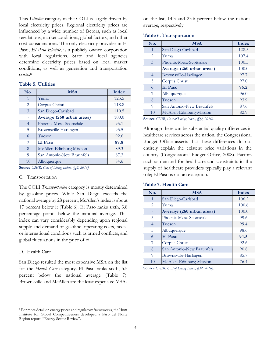This *Utilities* category in the COLI is largely driven by local electricity prices. Regional electricity prices are influenced by a wide number of factors, such as local regulations, market conditions, global factors, and other cost considerations. The only electricity provider in El Paso, *El Paso Electric*, is a publicly owned corporation with local regulations. State and local agencies determine electricity prices based on local market conditions, as well as generation and transportation costs. 8

## **Table 5. Utilities**

| No.            | <b>MSA</b>                | <b>Index</b> |
|----------------|---------------------------|--------------|
| $\mathbf{1}$   | Yuma                      | 123.5        |
| $\overline{2}$ | Corpus Christi            | 118.8        |
| 3              | San Diego-Carlsbad        | 110.5        |
|                | Average (260 urban areas) | 100.0        |
| $\overline{4}$ | Phoenix-Mesa-Scottsdale   | 95.1         |
| 5              | Brownsville-Harlingen     | 93.5         |
| 6              | Tucson                    | 92.6         |
| 7              | El Paso                   | 89.8         |
| 8              | McAllen-Edinburg-Mission  | 89.3         |
| 9              | San Antonio-New Braunfels | 87.3         |
| 10             | Albuquerque               | 84.6         |

**Source** *C2ER; Cost of Living Index, (Q2, 2016).*

#### C. Transportation

The COLI *Transportation* category is mostly determined by gasoline prices. While San Diego exceeds the national average by 28 percent, McAllen's index is about 17 percent below it (Table 6). El Paso ranks sixth, 3.8 percentage points below the national average. This index can vary considerably depending upon regional supply and demand of gasoline, operating costs, taxes, or international conditions such as armed conflicts, and global fluctuations in the price of oil.

#### D. Health Care

 $\overline{\phantom{a}}$ 

San Diego resulted the most expensive MSA on the list for the *Health Care* category. El Paso ranks sixth, 5.5 percent below the national average (Table 7). Brownsville and McAllen are the least expensive MSAs

<sup>8</sup> For more detail on energy prices and regulatory frameworks, the Hunt Institute for Global Competitiveness developed a Paso del Norte Region report: "Energy Sector Review".

on the list, 14.3 and 23.6 percent below the national average, respectively.

|  |  |  | <b>Table 6. Transportation</b> |
|--|--|--|--------------------------------|
|--|--|--|--------------------------------|

| No.            | <b>MSA</b>                | <b>Index</b> |
|----------------|---------------------------|--------------|
| $\mathbf{1}$   | San Diego-Carlsbad        | 128.5        |
| 2              | Yuma                      | 107.4        |
| $\overline{3}$ | Phoenix-Mesa-Scottsdale   | 100.5        |
|                | Average (260 urban areas) | 100.0        |
| $\overline{4}$ | Brownsville-Harlingen     | 97.7         |
| 5              | Corpus Christi            | 97.0         |
| 6              | El Paso                   | 96.2         |
| 7              | Albuquerque               | 96.0         |
| 8              | Tucson                    | 93.9         |
| 9              | San Antonio-New Braunfels | 87.6         |
| 10             | McAllen-Edinburg-Mission  | 82.9         |

**Source** *C2ER; Cost of Living Index, (Q2, 2016).*

Although there can be substantial quality differences in healthcare services across the nation, the Congressional Budget Office asserts that these differences do not entirely explain the existent price variations in the country (Congressional Budget Office, 2008). Factors such as demand for healthcare and constraints in the supply of healthcare providers typically play a relevant role; El Paso is not an exception.

#### **Table 7. Health Care**

| No.            | <b>MSA</b>                | Index |
|----------------|---------------------------|-------|
| $\mathbf{1}$   | San Diego-Carlsbad        | 106.2 |
| $\overline{2}$ | Yuma                      | 100.6 |
|                | Average (260 urban areas) | 100.0 |
| 3              | Phoenix-Mesa-Scottsdale   | 99.6  |
| $\overline{4}$ | Tucson                    | 99.4  |
| 5              | Albuquerque               | 98.6  |
| 6              | El Paso                   | 94.5  |
| 7              | Corpus Christi            | 92.6  |
| 8              | San Antonio-New Braunfels | 90.8  |
| 9              | Brownsville-Harlingen     | 85.7  |
| 10             | McAllen-Edinburg-Mission  | 76.4  |

**Source** *C2ER; Cost of Living Index, (Q2, 2016).*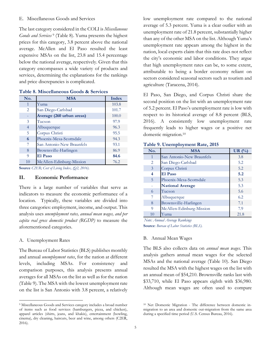#### E. Miscellaneous Goods and Services

The last category considered in the COLI is *Miscellaneous Goods and Services* <sup>9</sup> (Table 8). Yuma presents the highest prices for this category, 3.8 percent above the national average. McAllen and El Paso resulted the least expensive MSAs on the list, 23.8 and 15.4 percentage below the national average, respectively. Given that this category encompasses a wide variety of products and services, determining the explanations for the rankings and price discrepancies is complicated.

| No.            | <b>MSA</b>                | <b>Index</b> |
|----------------|---------------------------|--------------|
| 1              | Yuma                      | 103.8        |
| 2              | San Diego-Carlsbad        | 101.7        |
|                | Average (260 urban areas) | 100.0        |
| 3              | Tucson                    | 97.9         |
| $\overline{4}$ | Albuquerque               | 96.3         |
| 5              | Corpus Christi            | 95.5         |
| 6              | Phoenix-Mesa-Scottsdale   | 94.3         |
| 7              | San Antonio-New Braunfels | 93.1         |
| 8              | Brownsville-Harlingen     | 86.9         |
| 9              | El Paso                   | 84.6         |
| 10             | McAllen-Edinburg-Mission  | 76.2         |

**Table 8. Miscellaneous Goods & Services**

**Source** *C2ER; Cost of Living Index, (Q2, 2016).*

#### **II. Economic Performance**

There is a large number of variables that serve as indicators to measure the economic performance of a location. Typically, these variables are divided into three categories: employment, income, and output. This analysis uses *unemployment rates, annual mean wages, and per capita real gross domestic product (RGDP)* to measure the aforementioned categories.

#### A. Unemployment Rates

 $\overline{\phantom{a}}$ 

The Bureau of Labor Statistics (BLS) publishes monthly and annual *unemployment rates*, for the nation at different levels, including MSAs. For consistency and comparison purposes, this analysis presents annual averages for all MSAs on the list as well as for the nation (Table 9). The MSA with the lowest unemployment rate on the list is San Antonio with 3.8 percent, a relatively

low unemployment rate compared to the national average of 5.3 percent. Yuma is a clear outlier with an unemployment rate of 21.8 percent, substantially higher than any of the other MSA on the list. Although Yuma's unemployment rate appears among the highest in the nation, local experts claim that this rate does not reflect the city's economic and labor conditions. They argue that high unemployment rates can be, to some extent, attributable to being a border economy reliant on sectors considered seasonal sectors such as tourism and agriculture (Taracena, 2014).

El Paso, San Diego, and Corpus Christi share the second position on the list with an unemployment rate of 5.2 percent. El Paso's unemployment rate is low with respect to its historical average of 8.8 percent (BLS, 2016). A consistently low unemployment rate frequently leads to higher wages or a positive net domestic migration. 10

| No.          | <b>MSA</b>                | UR $(\%)$ |
|--------------|---------------------------|-----------|
| $\mathbf{1}$ | San Antonio-New Braunfels | 3.8       |
| 2            | San Diego-Carlsbad        | 5.2       |
| 3            | Corpus Christi            | 5.2       |
| 4            | El Paso                   | 5.2       |
| 5            | Phoenix-Mesa-Scottsdale   | 5.3       |
|              | <b>National Average</b>   | 5.3       |
| 6            | Tucson                    | 5.6       |
|              | Albuquerque               | 6.2       |
| 8            | Brownsville-Harlingen     | 7.1       |
| 9            | McAllen-Edinburg-Mission  | 7.9       |
| 10           | Yuma                      | 21.8      |

#### **Table 9. Unemployment Rate, 2015**

**Source**: *Bureau of Labor Statistics (BLS). Note: Annual Average Rankings*

#### B. Annual Mean Wages

The BLS also collects data on *annual mean wages*. This analysis gathers annual mean wages for the selected MSAs and the national average (Table 10). San Diego resulted the MSA with the highest wages on the list with an annual mean of \$54,210. Brownsville ranks last with \$33,710, while El Paso appears eighth with \$36,980. Although mean wages are often used to compare

<sup>9</sup> Miscellaneous Goods and Services category includes a broad number of items such as food services (hamburgers, pizza, and chicken), apparel articles (shirts, jeans, and khakis), entertainment (bowling, cinema), dry cleaning, haircuts, beer and wine, among others (C2ER, 2016).

<sup>10</sup> Net Domestic Migration - The difference between domestic inmigration to an area and domestic out-migration from the same area during a specified time period (U.S. Census Bureau, 2016).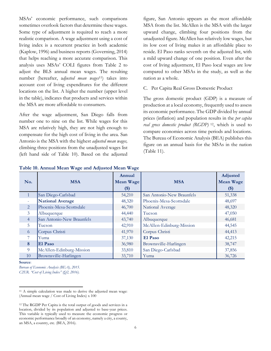MSAs' economic performance, such comparisons sometimes overlook factors that determine these wages. Some type of adjustment is required to reach a more realistic comparison. A wage adjustment using a cost of living index is a recurrent practice in both academic (Kaplow, 1996) and business reports (Governing, 2014) that helps reaching a more accurate comparison. This analysis uses MSAs' COLI figures from Table 2 to adjust the BLS annual mean wages. The resulting number (hereafter, a*djusted mean wages* <sup>11</sup>) takes into account cost of living expenditures for the different locations on the list. A higher the number (upper level in the table), indicates that products and services within the MSA are more affordable to consumers.

After the wage adjustment, San Diego falls from number one to nine on the list. While wages for this MSA are relatively high, they are not high enough to compensate for the high cost of living in the area. San Antonio is the MSA with the highest *adjusted mean wages,* climbing three positions from the unadjusted wages list (left hand side of Table 10). Based on the adjusted

figure, San Antonio appears as the most affordable MSA from the list. McAllen is the MSA with the larger upward change, climbing four positions from the unadjusted figure. McAllen has relatively low wages, but its low cost of living makes it an affordable place to reside. El Paso ranks seventh on the adjusted list, with a mild upward change of one position. Even after the cost of living adjustment, El Paso local wages are low compared to other MSAs in the study, as well as the nation as a whole.

## C. Per Capita Real Gross Domestic Product

The gross domestic product (GDP) is a measure of production at a local economy, frequently used to assess its economic performance. The GDP divided by annual prices (inflation) and population results in the *per capita real gross domestic product (RGDP)* <sup>12</sup>, which is used to compare economies across time periods and locations. The Bureau of Economic Analysis (BEA) publishes this figure on an annual basis for the MSAs in the nation (Table 11).

| No.                                                                                                                                                                                                                                                                                                                                              | <b>MSA</b>                | Annual<br><b>Mean Wage</b> | <b>MSA</b>                | Adjusted<br><b>Mean Wage</b> |  |  |  |
|--------------------------------------------------------------------------------------------------------------------------------------------------------------------------------------------------------------------------------------------------------------------------------------------------------------------------------------------------|---------------------------|----------------------------|---------------------------|------------------------------|--|--|--|
|                                                                                                                                                                                                                                                                                                                                                  |                           | $($)$                      |                           | $($)$                        |  |  |  |
| $\mathbf{1}$                                                                                                                                                                                                                                                                                                                                     | San Diego-Carlsbad        | 54,210                     | San Antonio-New Braunfels | 51,338                       |  |  |  |
|                                                                                                                                                                                                                                                                                                                                                  | <b>National Average</b>   | 48,320                     | Phoenix-Mesa-Scottsdale   | 48,697                       |  |  |  |
| $\overline{2}$                                                                                                                                                                                                                                                                                                                                   | Phoenix-Mesa-Scottsdale   | 46,700                     | National Average          | 48,320                       |  |  |  |
| 3                                                                                                                                                                                                                                                                                                                                                | Albuquerque               | 44,440                     | Tucson                    | 47,050                       |  |  |  |
| $\overline{4}$                                                                                                                                                                                                                                                                                                                                   | San Antonio-New Braunfels | 43,740                     | Albuquerque               | 46,681                       |  |  |  |
| 5                                                                                                                                                                                                                                                                                                                                                | Tucson                    | 42,910                     | McAllen-Edinburg-Mission  | 44,545                       |  |  |  |
| 6                                                                                                                                                                                                                                                                                                                                                | Corpus Christi            | 41,970                     | Corpus Christi            | 44,413                       |  |  |  |
| 7                                                                                                                                                                                                                                                                                                                                                | Yuma                      | 37,130                     | El Paso                   | 42,215                       |  |  |  |
| 8                                                                                                                                                                                                                                                                                                                                                | El Paso                   | 36,980                     | Brownsville-Harlingen     | 38,747                       |  |  |  |
| 9                                                                                                                                                                                                                                                                                                                                                | McAllen-Edinburg-Mission  | 33,810                     | San Diego-Carlsbad        | 37,856                       |  |  |  |
| 10                                                                                                                                                                                                                                                                                                                                               | Brownsville-Harlingen     | 33,710                     | Yuma                      | 36,726                       |  |  |  |
| Source:<br>Bureau of Economic Analysis (BEA), 2015.<br>C2ER. "Cost of Living Index" (Q2, 2016).                                                                                                                                                                                                                                                  |                           |                            |                           |                              |  |  |  |
| <sup>11</sup> A simple calculation was made to derive the adjusted mean wage:<br>(Annual mean wage / Cost of Living Index) x 100                                                                                                                                                                                                                 |                           |                            |                           |                              |  |  |  |
| <sup>12</sup> The RGDP Per Capita is the total output of goods and services in a<br>location, divided by its population and adjusted to base-year prices.<br>This variable is typically used to measure the economic progress or<br>economic performance broadly of an economy, namely a city, a county,<br>an MSA, a country, etc. (BEA, 2016). |                           |                            |                           |                              |  |  |  |

## **Table 10. Annual Mean Wage and Adjusted Mean Wage**

<sup>11</sup> A simple calculation was made to derive the adjusted mean wage: (Annual mean wage / Cost of Living Index) x 100

<sup>12</sup> The RGDP Per Capita is the total output of goods and services in a location, divided by its population and adjusted to base-year prices. This variable is typically used to measure the economic progress or economic performance broadly of an economy, namely a city, a county,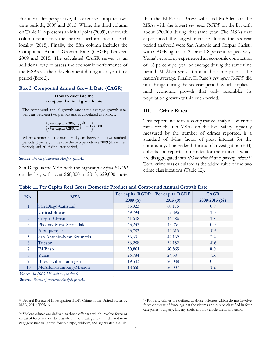For a broader perspective, this exercise compares two time periods, 2009 and 2015. While, the third column on Table 11 represents an initial point (2009), the fourth column represents the current performance of each locality (2015). Finally, the fifth column includes the Compound Annual Growth Rate (CAGR) between 2009 and 2015. The calculated CAGR serves as an additional way to assess the economic performance of the MSAs via their development during a six-year time period (Box 2).

# **Box 2. Compound Annual Growth Rate (CAGR)**

#### **How to calculate the compound annual growth rate**

The compound annual growth rate is the average growth rate per year between two periods and is calculated as follows:

$$
\left\{\!\left(\!\frac{\text{Per capita RGBP}_{2015}}{\text{Per capita RGBP}_{2009}}\!\right)^{1\!}/\!n-1\!\right\}*100
$$

Where *n* represents the number of years between the two studied periods (6 years); in this case the two periods are 2009 (the earlier period) and 2015 (the later period).

```
Source: Bureau of Economic Analysis (BEA).
```
San Diego is the MSA with the highest *per capita RGDP* on the list, with over \$60,000 in 2015, \$29,000 more

than the El Paso's. Brownsville and McAllen are the MSAs with the lowest *per capita RGDP* on the list with about \$20,000 during that same year. The MSAs that experienced the largest increase during the six-year period analyzed were San Antonio and Corpus Christi, with CAGR figures of 2.4 and 1.8 percent, respectively. Yuma's economy experienced an economic contraction of 1.6 percent per year on average during the same time period. McAllen grew at about the same pace as the nation's average. Finally, El Paso's *per capita RGDP* did not change during the six-year period, which implies a mild economic growth that only resembles its population growth within such period.

# **III. Crime Rates**

This report includes a comparative analysis of crime rates for the ten MSAs on the list. Safety, typically measured by the number of crimes reported, is a standard of living factor of great interest for the community. The Federal Bureau of Investigation (FBI) collects and reports crime rates for the nation, <sup>13</sup> which are disaggregated into *violent crimes<sup>14</sup>* and *property crimes. 15* Total crime was calculated as the added value of the two crime classifications (Table 12).

| Table 11. Per Capita Real Gross Domestic Product and Compound Annual Growth Rate |  |  |  |  |
|----------------------------------------------------------------------------------|--|--|--|--|
|                                                                                  |  |  |  |  |

| No.                      | <b>MSA</b>                | Per capita RGDP | Per capita RGDP | <b>CAGR</b>      |
|--------------------------|---------------------------|-----------------|-----------------|------------------|
|                          |                           | $2009($ \$)     | $2015($ \$)     | 2009-2015 $(\%)$ |
| $\mathbf{1}$             | San Diego-Carlsbad        | 56,923          | 60,175          | 0.9              |
| $\overline{\phantom{a}}$ | <b>United States</b>      | 49,794          | 52,896          | 1.0              |
| 2                        | Corpus Christi            | 41,648          | 46,486          | 1.8              |
| 3                        | Phoenix-Mesa-Scottsdale   | 43,233          | 43,264          | 0.0              |
| $\overline{4}$           | Albuquerque               | 43,783          | 42,613          | $-0.5$           |
| 5                        | San Antonio-New Braunfels | 36,631          | 42,169          | 2.4              |
| 6                        | Tucson                    | 33,288          | 32,152          | $-0.6$           |
| 7                        | El Paso                   | 30,861          | 30,865          | 0.0              |
| 8                        | Yuma                      | 26,784          | 24,384          | $-1.6$           |
| 9                        | Brownsville-Harlingen     | 19,503          | 20,088          | 0.5              |
| 10                       | McAllen-Edinburg-Mission  | 18,660          | 20,007          | 1.2              |

**Source**: *Bureau of Economic Analysis (BEA).* Notes: *In 2009 US dollars (chained)*

 $\overline{\phantom{a}}$ 

<sup>15</sup> Property crimes are defined as those offenses which do not involve force or threat of force against the victims and can be classified in four categories: burglary, larceny-theft, motor vehicle theft, and arson.

<sup>13</sup> Federal Bureau of Investigation (FBI). Crime in the United States by MSA, 2014; Table 6.

<sup>14</sup> Violent crimes are defined as those offenses which involve force or threat of force and can be classified in four categories: murder and nonnegligent manslaughter, forcible rape, robbery, and aggravated assault.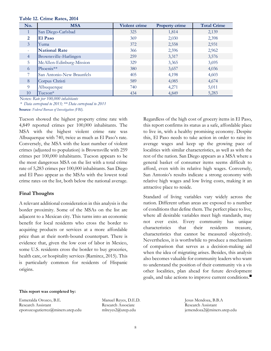| No.            | <b>MSA</b>                | Violent crime | <b>Property crime</b> | <b>Total Crime</b> |
|----------------|---------------------------|---------------|-----------------------|--------------------|
|                | San Diego-Carlsbad        | 325           | 1,814                 | 2,139              |
| $\overline{2}$ | El Paso                   | 369           | 2,030                 | 2,398              |
| $\mathfrak{Z}$ | Yuma                      | 372           | 2,558                 | 2,931              |
| $\sim$         | <b>National Rate</b>      | 366           | 2,596                 | 2,962              |
| $\overline{4}$ | Brownsville-Harlingen     | 259           | 3,317                 | 3,576              |
| 5              | McAllen-Edinburg-Mission  | 329           | 3,365                 | 3,695              |
| 6              | Phoenix**                 | 380           | 3,657                 | 4,036              |
| 7              | San Antonio-New Braunfels | 405           | 4,198                 | 4,603              |
| 8              | Corpus Christi            | 589           | 4,085                 | 4,674              |
| 9              | Albuquerque               | 740           | 4,271                 | 5,011              |
| 10             | Tucson*                   | 434           | 4,849                 | 5,283              |

**Table 12. Crime Rates, 2014**

Notes: *Rate per 100,000 inhabitants*

**Source**: *Federal Bureau of Investigation (FBI). \* Data correspond to 2013; \*\* Data correspond to 2011*

Tucson showed the highest property crime rate with 4,849 reported crimes per 100,000 inhabitants. The MSA with the highest violent crime rate was Albuquerque with 740, twice as much as El Paso's rate. Conversely, the MSA with the least number of violent crimes (adjusted to population) is Brownsville with 259 crimes per 100,000 inhabitants. Tucson appears to be the most dangerous MSA on the list with a total crime rate of 5,283 crimes per 100,000 inhabitants. San Diego and El Paso appear as the MSAs with the lowest total crime rates on the list, both below the national average.

# **Final Thoughts**

A relevant additional consideration in this analysis is the border proximity. Some of the MSAs on the list are adjacent to a Mexican city. This turns into an economic benefit for local residents who cross the border to acquiring products or services at a more affordable price than at their north-bound counterpart. There is evidence that, given the low cost of labor in Mexico, some U.S. residents cross the border to buy groceries, health care, or hospitality services (Ramirez, 2015). This is particularly common for residents of Hispanic origins.

Regardless of the high cost of grocery items in El Paso, this report confirms its status as a safe, affordable place to live in, with a healthy promising economy. Despite this, El Paso needs to take action in order to raise its average wages and keep up the growing pace of localities with similar characteristics, as well as with the rest of the nation. San Diego appears as a MSA where a general basket of consumer items seems difficult to afford, even with its relative high wages. Conversely, San Antonio's results indicate a strong economy with relative high wages and low living costs, making it an attractive place to reside.

Standard of living variables vary widely across the nation. Different urban areas are exposed to a number of conditions that define them. The perfect place to live, where all desirable variables meet high standards, may not ever exist. Every community has unique characteristics that their residents treasure, characteristics that cannot be measured objectively. Nevertheless, it is worthwhile to produce a mechanism of comparison that serves as a decision-making aid when the idea of migrating arises. Besides, this analysis also becomes valuable for community leaders who want to understand the position of their community vis a vis other localities, plan ahead for future development goals, and take actions to improve current conditions.

#### **This report was completed by:**

Esmeralda Orozco, B.E. Research Assistant eporozcogutierrez@miners.utep.edu

Manuel Reyes, D.E.D. Research Associate mlreyes2@utep.edu

Jesus Mendoza, B.B.A Research Assistant jemendoza2@miners.utep.edu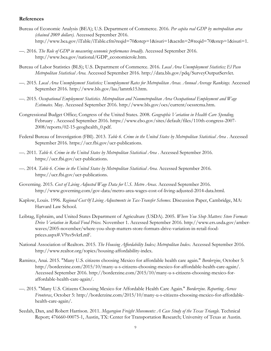## **References**

- Bureau of Economic Analysis (BEA); U.S. Department of Commerce. 2016. *Per capita real GDP by metropolitan area (chained 2009 dollars).* Accessed September 2016. http://www.bea.gov/iTable/iTable.cfm?reqid=70&step=1&isuri=1&acrdn=2#reqid=70&step=1&isuri=1.
- —. 2016. *The Role of GDP in measuring economic performance broadly.* Accessed September 2016. http://www.bea.gov/national/GDP\_economicrole.htm.
- Bureau of Labor Statistics (BLS); U.S. Department of Commerce. 2016. *Local Area Unemployment Statistics; El Paso Metropolitan Statistical Area.* Accessed September 2016. http://data.bls.gov/pdq/SurveyOutputServlet.
- —. 2015. *Local Area Unemployment Statistics; Unemployment Rates for Metropolitan Areas. Annual Average Rankings.* Accessed September 2016. http://www.bls.gov/lau/lamtrk15.htm.
- —. 2015. *Occupational Employment Statistics. Metropolitan and Nonmetropolitan Area Occupational Employment and Wage Estimates.* May. Accessed September 2016. http://www.bls.gov/oes/current/oessrcma.htm.
- Congressional Budget Office; Congress of the United States. 2008. *Geographic Variation in Health Care Spending.* February . Accessed September 2016. https://www.cbo.gov/sites/default/files/110th-congress-2007- 2008/reports/02-15-geoghealth\_0.pdf.
- Federal Bureau of Investigation (FBI). 2013. *Table 6. Crime in the United States by Metropolitan Statistical Area .* Accessed September 2016. https://ucr.fbi.gov/ucr-publications.
- —. 2011. *Table 6. Crime in the United States by Metropolitan Statistical Area .* Accessed September 2016. https://ucr.fbi.gov/ucr-publications.
- —. 2014. *Table 6. Crime in the United States by Metropolitan Statistical Area.* Accessed September 2016. https://ucr.fbi.gov/ucr-publications.
- Governing. 2015. *Cost of Living Adjusted Wage Data for U.S. Metro Areas.* Accessed September 2016. http://www.governing.com/gov-data/metro-area-wages-cost-of-living-adjusted-2014-data.html.
- Kaplow, Louis. 1996. *Regional Cost 0f Living Adjustments in Tax-Transfer Schemes.* Discussion Paper, Cambridge, MA: Harvard Law School.
- Leibtag, Ephraim, and United States Department of Agriculture (USDA). 2005. *Where You Shop Matters: Store Formats Drive Variation in Retail Food Prices.* November 1. Accessed September 2016. http://www.ers.usda.gov/amberwaves/2005-november/where-you-shop-matters-store-formats-drive-variation-in-retail-foodprices.aspx#.V9xvSvkrLmF.
- National Association of Realtors. 2015. *The Housing Affordability Index; Metropolitan Index.* Accessed September 2016. http://www.realtor.org/topics/housing-affordability-index.
- Ramirez, Anai. 2015. "Many U.S. citizens choosing Mexico for affordable health care again." *Borderzine*, October 5: http://borderzine.com/2015/10/many-u-s-citizens-choosing-mexico-for-affordable-health-care-again/. Accessed September 2016. http://borderzine.com/2015/10/many-u-s-citizens-choosing-mexico-foraffordable-health-care-again/.
- —. 2015. "Many U.S. Citizens Choosing Mexico for Affordable Health Care Again." *Borderzine. Reporting Across Fronteras*, October 5: http://borderzine.com/2015/10/many-u-s-citizens-choosing-mexico-for-affordablehealth-care-again/.
- Seedah, Dan, and Robert Harrison. 2011. *Megaregion Freight Movements: A Case Study of the Texas Triangle.* Technical Report; 476660-00075-1, Austin, TX: Center for Transportation Research; University of Texas at Austin.